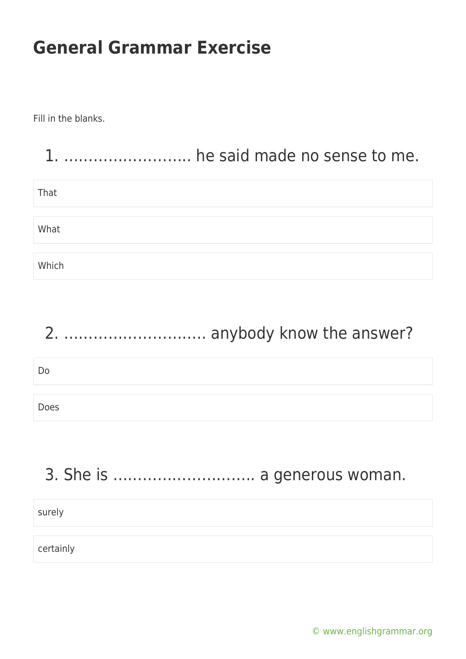Fill in the blanks.

|       | he said made no sense to me. |
|-------|------------------------------|
| That  |                              |
| What  |                              |
| Which |                              |

## 2. ……………………….. anybody know the answer?

Do

Does

## 3. She is ……………………….. a generous woman.

| surely    |  |
|-----------|--|
| certainly |  |
|           |  |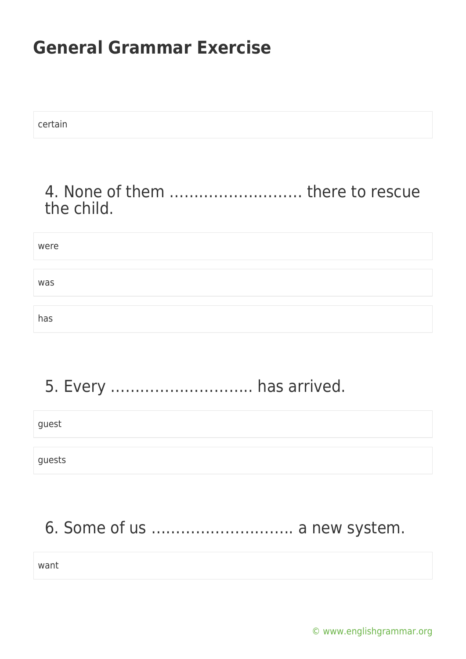certain

#### 4. None of them ……………………… there to rescue the child.

# were was has

#### 5. Every ……………………….. has arrived.

guest

guests

## 6. Some of us ……………………….. a new system.

want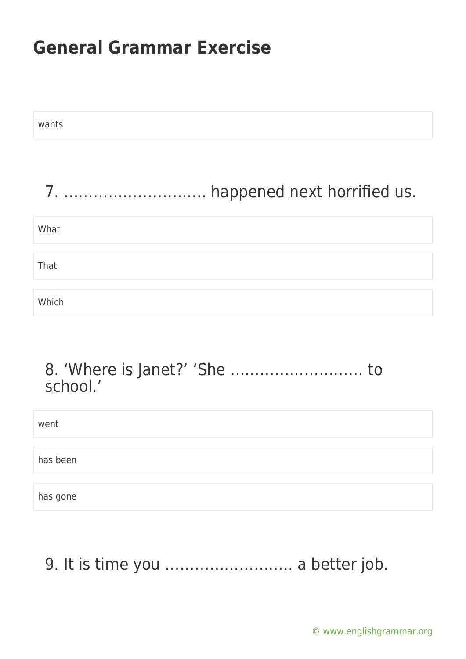| wants                           |
|---------------------------------|
| 7.  happened next horrified us. |
| What                            |
| That                            |
| Which                           |
|                                 |
| to                              |

| school.' |  |
|----------|--|
| went     |  |
| has been |  |
| has gone |  |

9. It is time you .......................... a better job.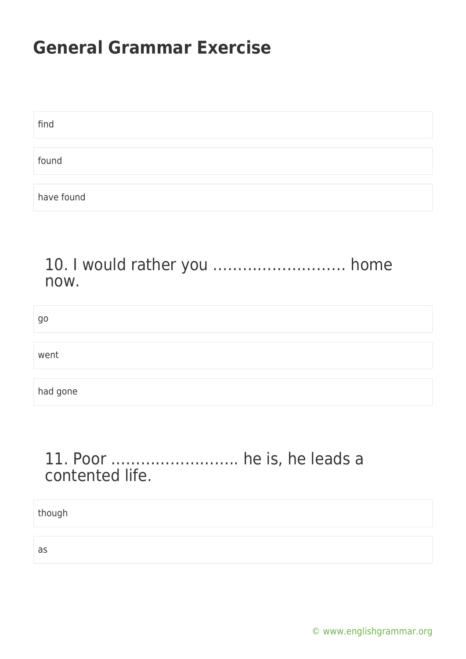| find       |  |
|------------|--|
|            |  |
| found      |  |
|            |  |
| have found |  |

#### 10. I would rather you ……………………… home now.

| go       |  |
|----------|--|
|          |  |
| went     |  |
|          |  |
| had gone |  |

#### 11. Poor …………………….. he is, he leads a contented life.

though

as

[© www.englishgrammar.org](https://www.englishgrammar.org/)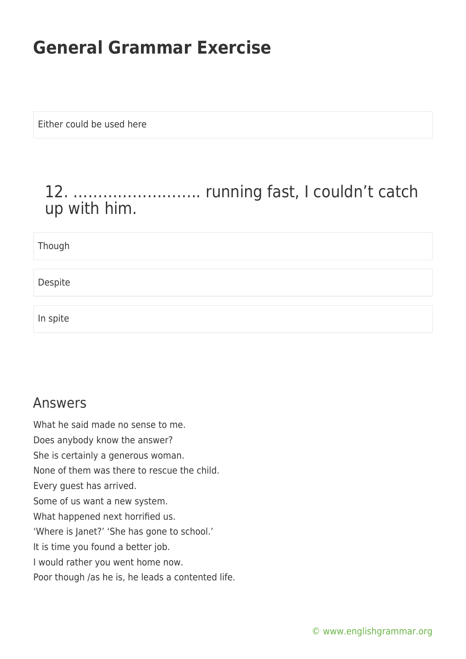Either could be used here

#### 12. …………………….. running fast, I couldn't catch up with him.

Though

Despite

In spite

#### Answers

What he said made no sense to me. Does anybody know the answer? She is certainly a generous woman. None of them was there to rescue the child. Every guest has arrived. Some of us want a new system. What happened next horrified us. 'Where is Janet?' 'She has gone to school.' It is time you found a better job. I would rather you went home now. Poor though /as he is, he leads a contented life.